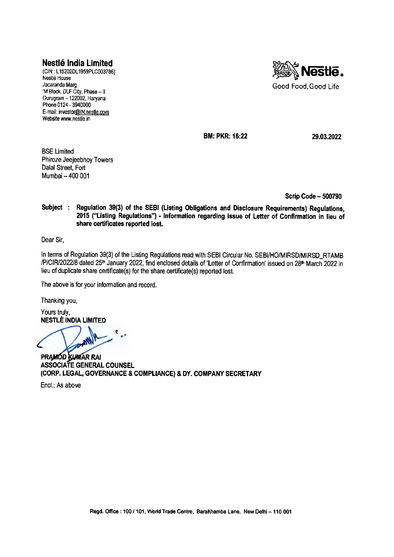## **Nestle India Limited**

(CIN: L15202DL1959PLC003786) Nestle House Jacaranda Marg 'M'Block, DLF City, Phase - II Gurugram -122002, Haryana Phone 0124 - 3940000 E-mail: investor@IN.nestle.com Website www.nestle.in



**BM: PKR: 16:22** 

**29.03.2022** 

BSE Limited Phiroze Jeejeebhoy Towers Dalal Street, Fort Mumbai - 400 001

**Scrip Code - 500790** 

**Subject Regulation 39(3) of the SEBI (Listing Obligations and Disclosure Requirements) Regulations, 2015 ("Listing Regulations") - Information regarding issue of Letter of Confirmation in lieu of share certificates reported lost.** 

Dear Sir,

In terms of Regulation 39(3) of the Listing Regulations read with SEBI Circular No. SEBI/HO/MIRSD/MIRSD\_RTAMB /P/CIR/2022/8 dated 25<sup>th</sup> January 2022, find enclosed details of 'Letter of Confirmation' issued on 28<sup>th</sup> March 2022 in lieu of duplicate share certificate(s) for the share certificate(s) reported lost.

The above is for your information and record.

Thanking you,

Yours truly, **NESTLE INDIA LIMITED** 

**<sup>t</sup>***<sup>r</sup> '*  **PRAMOD KUMAR RAI**<br>
ASSOCIATE GENERAL COUNSEL

**PRAMOD KUMAR RAI (CORP. LEGAL, GOVERNANCE & COMPLIANCE) & DY. COMPANY SECRETARY** 

Encl.: As above